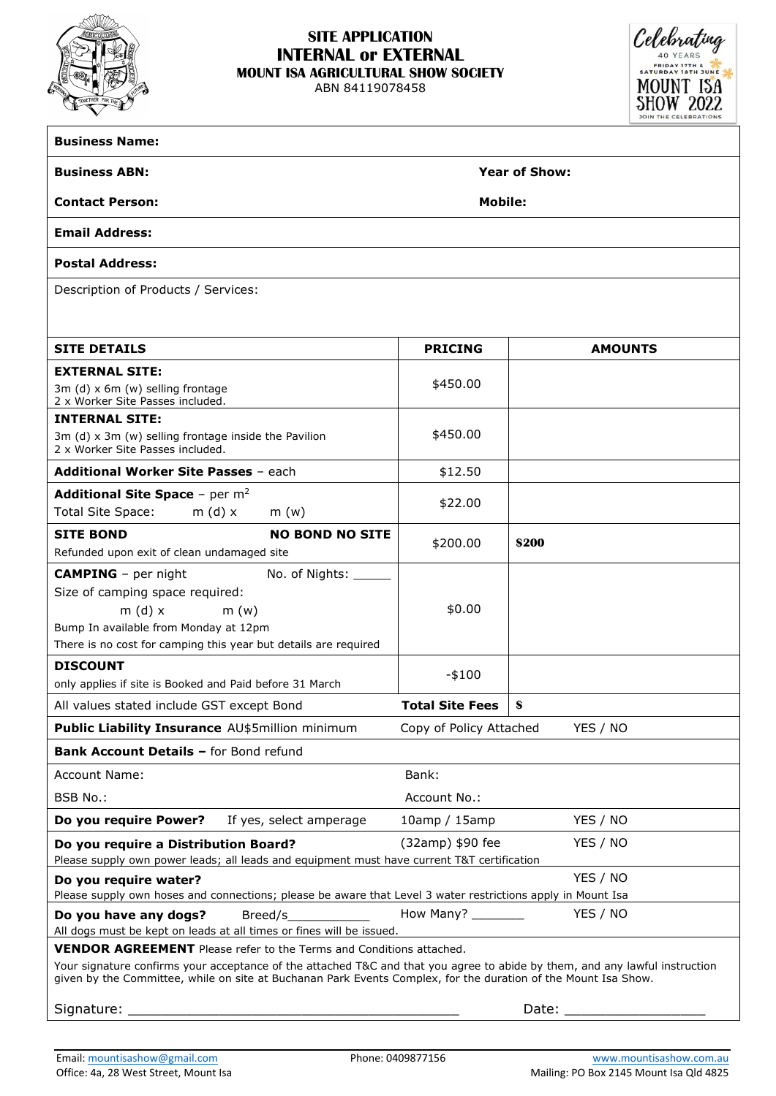

## **SITE APPLICATION INTERNAL or EXTERNAL MOUNT ISA AGRICULTURAL SHOW SOCIETY**

ABN 84119078458



| <b>Business Name:</b>                                                                                                                                                                                                                         |                        |                |  |  |  |
|-----------------------------------------------------------------------------------------------------------------------------------------------------------------------------------------------------------------------------------------------|------------------------|----------------|--|--|--|
| <b>Business ABN:</b>                                                                                                                                                                                                                          | <b>Year of Show:</b>   |                |  |  |  |
| <b>Contact Person:</b>                                                                                                                                                                                                                        | <b>Mobile:</b>         |                |  |  |  |
| <b>Email Address:</b>                                                                                                                                                                                                                         |                        |                |  |  |  |
| <b>Postal Address:</b>                                                                                                                                                                                                                        |                        |                |  |  |  |
| Description of Products / Services:                                                                                                                                                                                                           |                        |                |  |  |  |
|                                                                                                                                                                                                                                               |                        |                |  |  |  |
| <b>SITE DETAILS</b>                                                                                                                                                                                                                           | <b>PRICING</b>         | <b>AMOUNTS</b> |  |  |  |
| <b>EXTERNAL SITE:</b>                                                                                                                                                                                                                         |                        |                |  |  |  |
| 3m (d) $x$ 6m (w) selling frontage<br>2 x Worker Site Passes included.                                                                                                                                                                        | \$450.00               |                |  |  |  |
| <b>INTERNAL SITE:</b>                                                                                                                                                                                                                         |                        |                |  |  |  |
| 3m (d) x 3m (w) selling frontage inside the Pavilion<br>2 x Worker Site Passes included.                                                                                                                                                      | \$450.00               |                |  |  |  |
| <b>Additional Worker Site Passes - each</b>                                                                                                                                                                                                   | \$12.50                |                |  |  |  |
| <b>Additional Site Space - per m<sup>2</sup></b><br>Total Site Space:<br>$m(d)$ x<br>m(w)                                                                                                                                                     | \$22.00                |                |  |  |  |
| <b>SITE BOND</b><br><b>NO BOND NO SITE</b>                                                                                                                                                                                                    | \$200.00               |                |  |  |  |
| Refunded upon exit of clean undamaged site                                                                                                                                                                                                    |                        | \$200          |  |  |  |
| <b>CAMPING</b> - per night<br>No. of Nights: ______                                                                                                                                                                                           |                        |                |  |  |  |
| Size of camping space required:                                                                                                                                                                                                               |                        |                |  |  |  |
| $m(d)$ x<br>m(w)                                                                                                                                                                                                                              | \$0.00                 |                |  |  |  |
| Bump In available from Monday at 12pm                                                                                                                                                                                                         |                        |                |  |  |  |
| There is no cost for camping this year but details are required                                                                                                                                                                               |                        |                |  |  |  |
| <b>DISCOUNT</b>                                                                                                                                                                                                                               | $-$100$                |                |  |  |  |
| only applies if site is Booked and Paid before 31 March                                                                                                                                                                                       |                        |                |  |  |  |
| All values stated include GST except Bond                                                                                                                                                                                                     | <b>Total Site Fees</b> | S              |  |  |  |
| Public Liability Insurance AU\$5million minimum<br>Copy of Policy Attached<br>YES / NO                                                                                                                                                        |                        |                |  |  |  |
| <b>Bank Account Details - for Bond refund</b>                                                                                                                                                                                                 |                        |                |  |  |  |
| <b>Account Name:</b>                                                                                                                                                                                                                          | Bank:                  |                |  |  |  |
| BSB No.:                                                                                                                                                                                                                                      | Account No.:           |                |  |  |  |
| Do you require Power?<br>If yes, select amperage                                                                                                                                                                                              | $10$ amp / $15$ amp    | YES / NO       |  |  |  |
| YES / NO<br>(32amp) \$90 fee<br>Do you require a Distribution Board?<br>Please supply own power leads; all leads and equipment must have current T&T certification                                                                            |                        |                |  |  |  |
| YES / NO<br>Do you require water?                                                                                                                                                                                                             |                        |                |  |  |  |
| Please supply own hoses and connections; please be aware that Level 3 water restrictions apply in Mount Isa                                                                                                                                   |                        |                |  |  |  |
| YES / NO<br>How Many? _________<br>Do you have any dogs?<br>Breed/s<br>All dogs must be kept on leads at all times or fines will be issued.                                                                                                   |                        |                |  |  |  |
| <b>VENDOR AGREEMENT</b> Please refer to the Terms and Conditions attached.                                                                                                                                                                    |                        |                |  |  |  |
| Your signature confirms your acceptance of the attached T&C and that you agree to abide by them, and any lawful instruction<br>given by the Committee, while on site at Buchanan Park Events Complex, for the duration of the Mount Isa Show. |                        |                |  |  |  |
| Signature: _<br>Date: $\_\_$                                                                                                                                                                                                                  |                        |                |  |  |  |